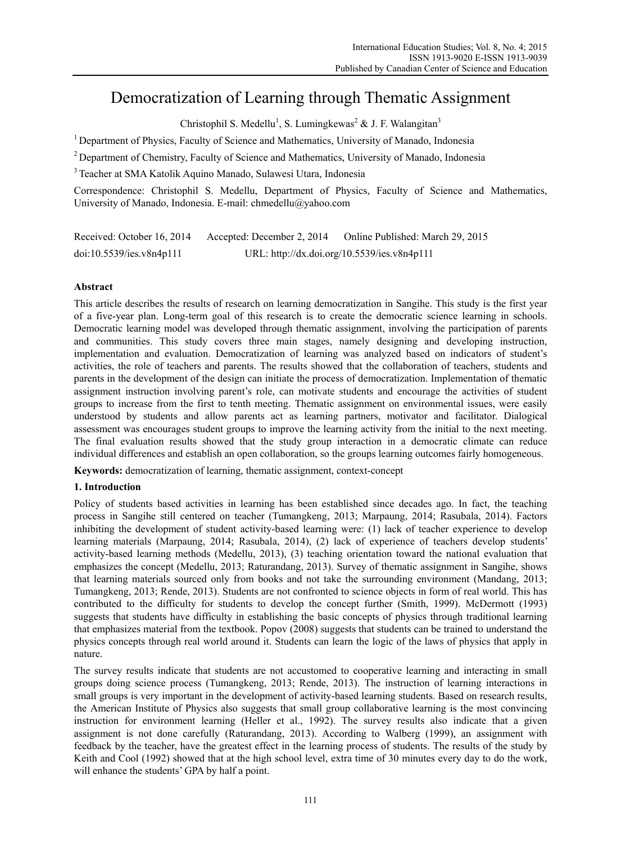# Democratization of Learning through Thematic Assignment

Christophil S. Medellu<sup>1</sup>, S. Lumingkewas<sup>2</sup> & J. F. Walangitan<sup>3</sup>

<sup>1</sup> Department of Physics, Faculty of Science and Mathematics, University of Manado, Indonesia

2 Department of Chemistry, Faculty of Science and Mathematics, University of Manado, Indonesia

3 Teacher at SMA Katolik Aquino Manado, Sulawesi Utara, Indonesia

Correspondence: Christophil S. Medellu, Department of Physics, Faculty of Science and Mathematics, University of Manado, Indonesia. E-mail: chmedellu@yahoo.com

Received: October 16, 2014 Accepted: December 2, 2014 Online Published: March 29, 2015 doi:10.5539/ies.v8n4p111 URL: http://dx.doi.org/10.5539/ies.v8n4p111

# **Abstract**

This article describes the results of research on learning democratization in Sangihe. This study is the first year of a five-year plan. Long-term goal of this research is to create the democratic science learning in schools. Democratic learning model was developed through thematic assignment, involving the participation of parents and communities. This study covers three main stages, namely designing and developing instruction, implementation and evaluation. Democratization of learning was analyzed based on indicators of student's activities, the role of teachers and parents. The results showed that the collaboration of teachers, students and parents in the development of the design can initiate the process of democratization. Implementation of thematic assignment instruction involving parent's role, can motivate students and encourage the activities of student groups to increase from the first to tenth meeting. Thematic assignment on environmental issues, were easily understood by students and allow parents act as learning partners, motivator and facilitator. Dialogical assessment was encourages student groups to improve the learning activity from the initial to the next meeting. The final evaluation results showed that the study group interaction in a democratic climate can reduce individual differences and establish an open collaboration, so the groups learning outcomes fairly homogeneous.

**Keywords:** democratization of learning, thematic assignment, context-concept

# **1. Introduction**

Policy of students based activities in learning has been established since decades ago. In fact, the teaching process in Sangihe still centered on teacher (Tumangkeng, 2013; Marpaung, 2014; Rasubala, 2014). Factors inhibiting the development of student activity-based learning were: (1) lack of teacher experience to develop learning materials (Marpaung, 2014; Rasubala, 2014), (2) lack of experience of teachers develop students' activity-based learning methods (Medellu, 2013), (3) teaching orientation toward the national evaluation that emphasizes the concept (Medellu, 2013; Raturandang, 2013). Survey of thematic assignment in Sangihe, shows that learning materials sourced only from books and not take the surrounding environment (Mandang, 2013; Tumangkeng, 2013; Rende, 2013). Students are not confronted to science objects in form of real world. This has contributed to the difficulty for students to develop the concept further (Smith, 1999). McDermott (1993) suggests that students have difficulty in establishing the basic concepts of physics through traditional learning that emphasizes material from the textbook. Popov (2008) suggests that students can be trained to understand the physics concepts through real world around it. Students can learn the logic of the laws of physics that apply in nature.

The survey results indicate that students are not accustomed to cooperative learning and interacting in small groups doing science process (Tumangkeng, 2013; Rende, 2013). The instruction of learning interactions in small groups is very important in the development of activity-based learning students. Based on research results, the American Institute of Physics also suggests that small group collaborative learning is the most convincing instruction for environment learning (Heller et al., 1992). The survey results also indicate that a given assignment is not done carefully (Raturandang, 2013). According to Walberg (1999), an assignment with feedback by the teacher, have the greatest effect in the learning process of students. The results of the study by Keith and Cool (1992) showed that at the high school level, extra time of 30 minutes every day to do the work, will enhance the students' GPA by half a point.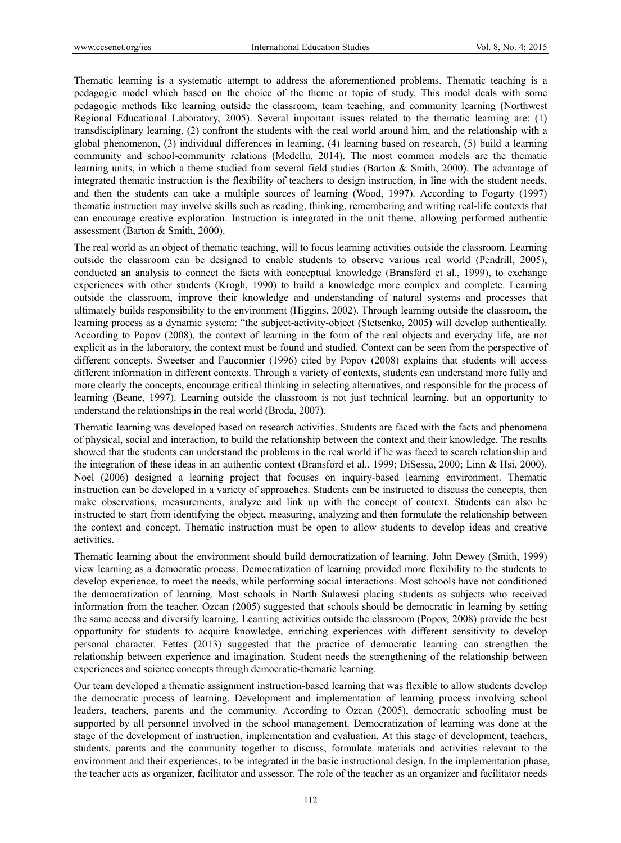Thematic learning is a systematic attempt to address the aforementioned problems. Thematic teaching is a pedagogic model which based on the choice of the theme or topic of study. This model deals with some pedagogic methods like learning outside the classroom, team teaching, and community learning (Northwest Regional Educational Laboratory, 2005). Several important issues related to the thematic learning are: (1) transdisciplinary learning, (2) confront the students with the real world around him, and the relationship with a global phenomenon, (3) individual differences in learning, (4) learning based on research, (5) build a learning community and school-community relations (Medellu, 2014). The most common models are the thematic learning units, in which a theme studied from several field studies (Barton & Smith, 2000). The advantage of integrated thematic instruction is the flexibility of teachers to design instruction, in line with the student needs, and then the students can take a multiple sources of learning (Wood, 1997). According to Fogarty (1997) thematic instruction may involve skills such as reading, thinking, remembering and writing real-life contexts that can encourage creative exploration. Instruction is integrated in the unit theme, allowing performed authentic assessment (Barton & Smith, 2000).

The real world as an object of thematic teaching, will to focus learning activities outside the classroom. Learning outside the classroom can be designed to enable students to observe various real world (Pendrill, 2005), conducted an analysis to connect the facts with conceptual knowledge (Bransford et al., 1999), to exchange experiences with other students (Krogh, 1990) to build a knowledge more complex and complete. Learning outside the classroom, improve their knowledge and understanding of natural systems and processes that ultimately builds responsibility to the environment (Higgins, 2002). Through learning outside the classroom, the learning process as a dynamic system: "the subject-activity-object (Stetsenko, 2005) will develop authentically. According to Popov (2008), the context of learning in the form of the real objects and everyday life, are not explicit as in the laboratory, the context must be found and studied. Context can be seen from the perspective of different concepts. Sweetser and Fauconnier (1996) cited by Popov (2008) explains that students will access different information in different contexts. Through a variety of contexts, students can understand more fully and more clearly the concepts, encourage critical thinking in selecting alternatives, and responsible for the process of learning (Beane, 1997). Learning outside the classroom is not just technical learning, but an opportunity to understand the relationships in the real world (Broda, 2007).

Thematic learning was developed based on research activities. Students are faced with the facts and phenomena of physical, social and interaction, to build the relationship between the context and their knowledge. The results showed that the students can understand the problems in the real world if he was faced to search relationship and the integration of these ideas in an authentic context (Bransford et al., 1999; DiSessa, 2000; Linn & Hsi, 2000). Noel (2006) designed a learning project that focuses on inquiry-based learning environment. Thematic instruction can be developed in a variety of approaches. Students can be instructed to discuss the concepts, then make observations, measurements, analyze and link up with the concept of context. Students can also be instructed to start from identifying the object, measuring, analyzing and then formulate the relationship between the context and concept. Thematic instruction must be open to allow students to develop ideas and creative activities.

Thematic learning about the environment should build democratization of learning. John Dewey (Smith, 1999) view learning as a democratic process. Democratization of learning provided more flexibility to the students to develop experience, to meet the needs, while performing social interactions. Most schools have not conditioned the democratization of learning. Most schools in North Sulawesi placing students as subjects who received information from the teacher. Ozcan (2005) suggested that schools should be democratic in learning by setting the same access and diversify learning. Learning activities outside the classroom (Popov, 2008) provide the best opportunity for students to acquire knowledge, enriching experiences with different sensitivity to develop personal character. Fettes (2013) suggested that the practice of democratic learning can strengthen the relationship between experience and imagination. Student needs the strengthening of the relationship between experiences and science concepts through democratic-thematic learning.

Our team developed a thematic assignment instruction-based learning that was flexible to allow students develop the democratic process of learning. Development and implementation of learning process involving school leaders, teachers, parents and the community. According to Ozcan (2005), democratic schooling must be supported by all personnel involved in the school management. Democratization of learning was done at the stage of the development of instruction, implementation and evaluation. At this stage of development, teachers, students, parents and the community together to discuss, formulate materials and activities relevant to the environment and their experiences, to be integrated in the basic instructional design. In the implementation phase, the teacher acts as organizer, facilitator and assessor. The role of the teacher as an organizer and facilitator needs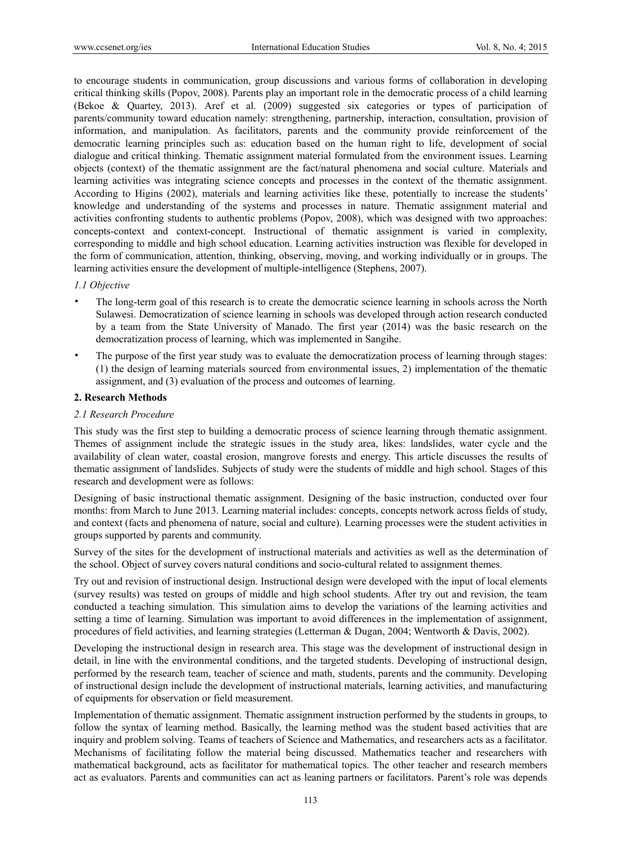to encourage students in communication, group discussions and various forms of collaboration in developing critical thinking skills (Popov, 2008). Parents play an important role in the democratic process of a child learning (Bekoe & Quartey, 2013). Aref et al. (2009) suggested six categories or types of participation of parents/community toward education namely: strengthening, partnership, interaction, consultation, provision of information, and manipulation. As facilitators, parents and the community provide reinforcement of the democratic learning principles such as: education based on the human right to life, development of social dialogue and critical thinking. Thematic assignment material formulated from the environment issues. Learning objects (context) of the thematic assignment are the fact/natural phenomena and social culture. Materials and learning activities was integrating science concepts and processes in the context of the thematic assignment. According to Higins (2002), materials and learning activities like these, potentially to increase the students' knowledge and understanding of the systems and processes in nature. Thematic assignment material and activities confronting students to authentic problems (Popov, 2008), which was designed with two approaches: concepts-context and context-concept. Instructional of thematic assignment is varied in complexity, corresponding to middle and high school education. Learning activities instruction was flexible for developed in the form of communication, attention, thinking, observing, moving, and working individually or in groups. The learning activities ensure the development of multiple-intelligence (Stephens, 2007).

## *1.1 Objective*

- The long-term goal of this research is to create the democratic science learning in schools across the North Sulawesi. Democratization of science learning in schools was developed through action research conducted by a team from the State University of Manado. The first year (2014) was the basic research on the democratization process of learning, which was implemented in Sangihe.
- The purpose of the first year study was to evaluate the democratization process of learning through stages: (1) the design of learning materials sourced from environmental issues, 2) implementation of the thematic assignment, and (3) evaluation of the process and outcomes of learning.

## **2. Research Methods**

# *2.1 Research Procedure*

This study was the first step to building a democratic process of science learning through thematic assignment. Themes of assignment include the strategic issues in the study area, likes: landslides, water cycle and the availability of clean water, coastal erosion, mangrove forests and energy. This article discusses the results of thematic assignment of landslides. Subjects of study were the students of middle and high school. Stages of this research and development were as follows:

Designing of basic instructional thematic assignment. Designing of the basic instruction, conducted over four months: from March to June 2013. Learning material includes: concepts, concepts network across fields of study, and context (facts and phenomena of nature, social and culture). Learning processes were the student activities in groups supported by parents and community.

Survey of the sites for the development of instructional materials and activities as well as the determination of the school. Object of survey covers natural conditions and socio-cultural related to assignment themes.

Try out and revision of instructional design. Instructional design were developed with the input of local elements (survey results) was tested on groups of middle and high school students. After try out and revision, the team conducted a teaching simulation. This simulation aims to develop the variations of the learning activities and setting a time of learning. Simulation was important to avoid differences in the implementation of assignment, procedures of field activities, and learning strategies (Letterman & Dugan, 2004; Wentworth & Davis, 2002).

Developing the instructional design in research area. This stage was the development of instructional design in detail, in line with the environmental conditions, and the targeted students. Developing of instructional design, performed by the research team, teacher of science and math, students, parents and the community. Developing of instructional design include the development of instructional materials, learning activities, and manufacturing of equipments for observation or field measurement.

Implementation of thematic assignment. Thematic assignment instruction performed by the students in groups, to follow the syntax of learning method. Basically, the learning method was the student based activities that are inquiry and problem solving. Teams of teachers of Science and Mathematics, and researchers acts as a facilitator. Mechanisms of facilitating follow the material being discussed. Mathematics teacher and researchers with mathematical background, acts as facilitator for mathematical topics. The other teacher and research members act as evaluators. Parents and communities can act as leaning partners or facilitators. Parent's role was depends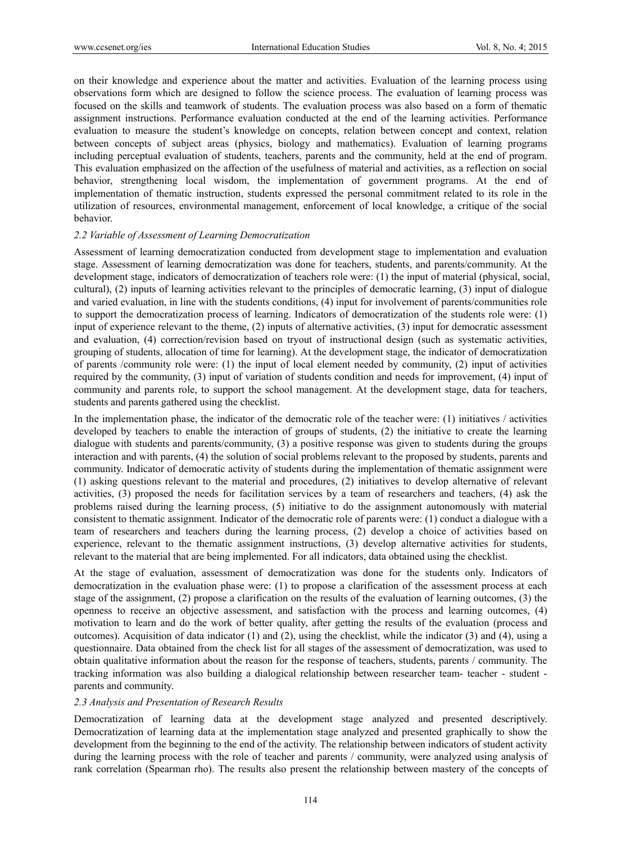on their knowledge and experience about the matter and activities. Evaluation of the learning process using observations form which are designed to follow the science process. The evaluation of learning process was focused on the skills and teamwork of students. The evaluation process was also based on a form of thematic assignment instructions. Performance evaluation conducted at the end of the learning activities. Performance evaluation to measure the student's knowledge on concepts, relation between concept and context, relation between concepts of subject areas (physics, biology and mathematics). Evaluation of learning programs including perceptual evaluation of students, teachers, parents and the community, held at the end of program. This evaluation emphasized on the affection of the usefulness of material and activities, as a reflection on social behavior, strengthening local wisdom, the implementation of government programs. At the end of implementation of thematic instruction, students expressed the personal commitment related to its role in the utilization of resources, environmental management, enforcement of local knowledge, a critique of the social behavior.

#### *2.2 Variable of Assessment of Learning Democratization*

Assessment of learning democratization conducted from development stage to implementation and evaluation stage. Assessment of learning democratization was done for teachers, students, and parents/community. At the development stage, indicators of democratization of teachers role were: (1) the input of material (physical, social, cultural), (2) inputs of learning activities relevant to the principles of democratic learning, (3) input of dialogue and varied evaluation, in line with the students conditions, (4) input for involvement of parents/communities role to support the democratization process of learning. Indicators of democratization of the students role were: (1) input of experience relevant to the theme, (2) inputs of alternative activities, (3) input for democratic assessment and evaluation, (4) correction/revision based on tryout of instructional design (such as systematic activities, grouping of students, allocation of time for learning). At the development stage, the indicator of democratization of parents /community role were: (1) the input of local element needed by community, (2) input of activities required by the community, (3) input of variation of students condition and needs for improvement, (4) input of community and parents role, to support the school management. At the development stage, data for teachers, students and parents gathered using the checklist.

In the implementation phase, the indicator of the democratic role of the teacher were: (1) initiatives / activities developed by teachers to enable the interaction of groups of students, (2) the initiative to create the learning dialogue with students and parents/community, (3) a positive response was given to students during the groups interaction and with parents, (4) the solution of social problems relevant to the proposed by students, parents and community. Indicator of democratic activity of students during the implementation of thematic assignment were (1) asking questions relevant to the material and procedures, (2) initiatives to develop alternative of relevant activities, (3) proposed the needs for facilitation services by a team of researchers and teachers, (4) ask the problems raised during the learning process, (5) initiative to do the assignment autonomously with material consistent to thematic assignment. Indicator of the democratic role of parents were: (1) conduct a dialogue with a team of researchers and teachers during the learning process, (2) develop a choice of activities based on experience, relevant to the thematic assignment instructions, (3) develop alternative activities for students, relevant to the material that are being implemented. For all indicators, data obtained using the checklist.

At the stage of evaluation, assessment of democratization was done for the students only. Indicators of democratization in the evaluation phase were: (1) to propose a clarification of the assessment process at each stage of the assignment, (2) propose a clarification on the results of the evaluation of learning outcomes, (3) the openness to receive an objective assessment, and satisfaction with the process and learning outcomes, (4) motivation to learn and do the work of better quality, after getting the results of the evaluation (process and outcomes). Acquisition of data indicator (1) and (2), using the checklist, while the indicator (3) and (4), using a questionnaire. Data obtained from the check list for all stages of the assessment of democratization, was used to obtain qualitative information about the reason for the response of teachers, students, parents / community. The tracking information was also building a dialogical relationship between researcher team- teacher - student parents and community.

## *2.3 Analysis and Presentation of Research Results*

Democratization of learning data at the development stage analyzed and presented descriptively. Democratization of learning data at the implementation stage analyzed and presented graphically to show the development from the beginning to the end of the activity. The relationship between indicators of student activity during the learning process with the role of teacher and parents / community, were analyzed using analysis of rank correlation (Spearman rho). The results also present the relationship between mastery of the concepts of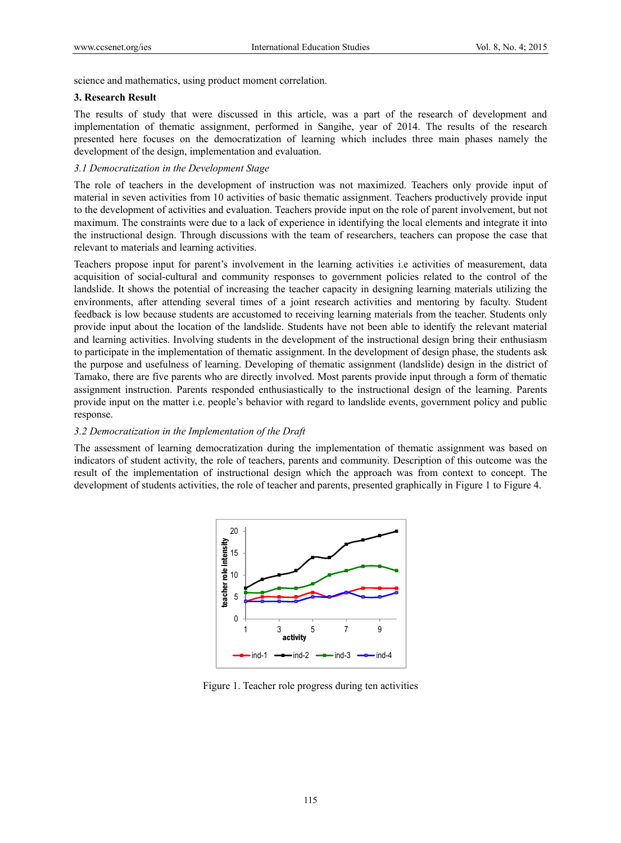science and mathematics, using product moment correlation.

#### **3. Research Result**

The results of study that were discussed in this article, was a part of the research of development and implementation of thematic assignment, performed in Sangihe, year of 2014. The results of the research presented here focuses on the democratization of learning which includes three main phases namely the development of the design, implementation and evaluation.

## *3.1 Democratization in the Development Stage*

The role of teachers in the development of instruction was not maximized. Teachers only provide input of material in seven activities from 10 activities of basic thematic assignment. Teachers productively provide input to the development of activities and evaluation. Teachers provide input on the role of parent involvement, but not maximum. The constraints were due to a lack of experience in identifying the local elements and integrate it into the instructional design. Through discussions with the team of researchers, teachers can propose the case that relevant to materials and learning activities.

Teachers propose input for parent's involvement in the learning activities i.e activities of measurement, data acquisition of social-cultural and community responses to government policies related to the control of the landslide. It shows the potential of increasing the teacher capacity in designing learning materials utilizing the environments, after attending several times of a joint research activities and mentoring by faculty. Student feedback is low because students are accustomed to receiving learning materials from the teacher. Students only provide input about the location of the landslide. Students have not been able to identify the relevant material and learning activities. Involving students in the development of the instructional design bring their enthusiasm to participate in the implementation of thematic assignment. In the development of design phase, the students ask the purpose and usefulness of learning. Developing of thematic assignment (landslide) design in the district of Tamako, there are five parents who are directly involved. Most parents provide input through a form of thematic assignment instruction. Parents responded enthusiastically to the instructional design of the learning. Parents provide input on the matter i.e. people's behavior with regard to landslide events, government policy and public response.

## *3.2 Democratization in the Implementation of the Draft*

The assessment of learning democratization during the implementation of thematic assignment was based on indicators of student activity, the role of teachers, parents and community. Description of this outcome was the result of the implementation of instructional design which the approach was from context to concept. The development of students activities, the role of teacher and parents, presented graphically in Figure 1 to Figure 4.



Figure 1. Teacher role progress during ten activities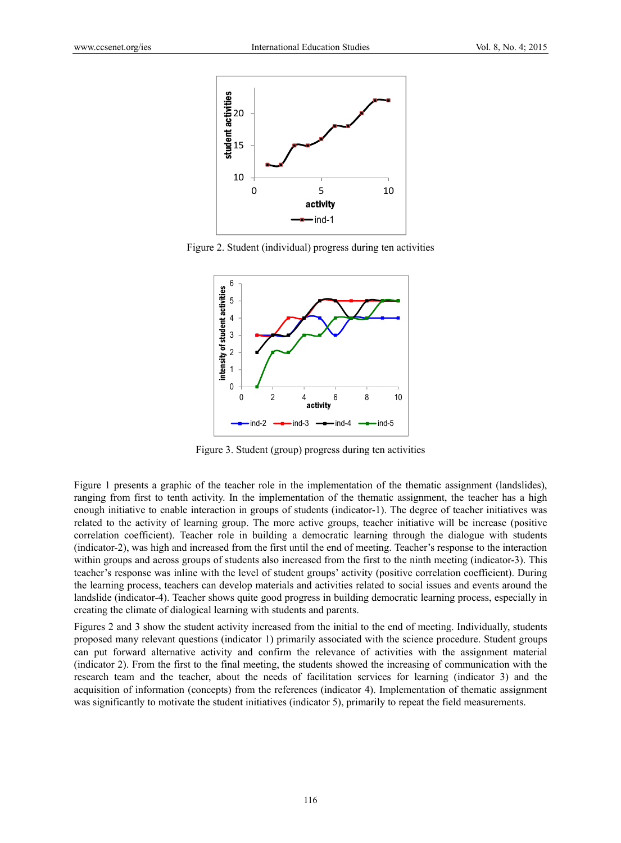

Figure 2. Student (individual) progress during ten activities



Figure 3. Student (group) progress during ten activities

Figure 1 presents a graphic of the teacher role in the implementation of the thematic assignment (landslides), ranging from first to tenth activity. In the implementation of the thematic assignment, the teacher has a high enough initiative to enable interaction in groups of students (indicator-1). The degree of teacher initiatives was related to the activity of learning group. The more active groups, teacher initiative will be increase (positive correlation coefficient). Teacher role in building a democratic learning through the dialogue with students (indicator-2), was high and increased from the first until the end of meeting. Teacher's response to the interaction within groups and across groups of students also increased from the first to the ninth meeting (indicator-3). This teacher's response was inline with the level of student groups' activity (positive correlation coefficient). During the learning process, teachers can develop materials and activities related to social issues and events around the landslide (indicator-4). Teacher shows quite good progress in building democratic learning process, especially in creating the climate of dialogical learning with students and parents.

Figures 2 and 3 show the student activity increased from the initial to the end of meeting. Individually, students proposed many relevant questions (indicator 1) primarily associated with the science procedure. Student groups can put forward alternative activity and confirm the relevance of activities with the assignment material (indicator 2). From the first to the final meeting, the students showed the increasing of communication with the research team and the teacher, about the needs of facilitation services for learning (indicator 3) and the acquisition of information (concepts) from the references (indicator 4). Implementation of thematic assignment was significantly to motivate the student initiatives (indicator 5), primarily to repeat the field measurements.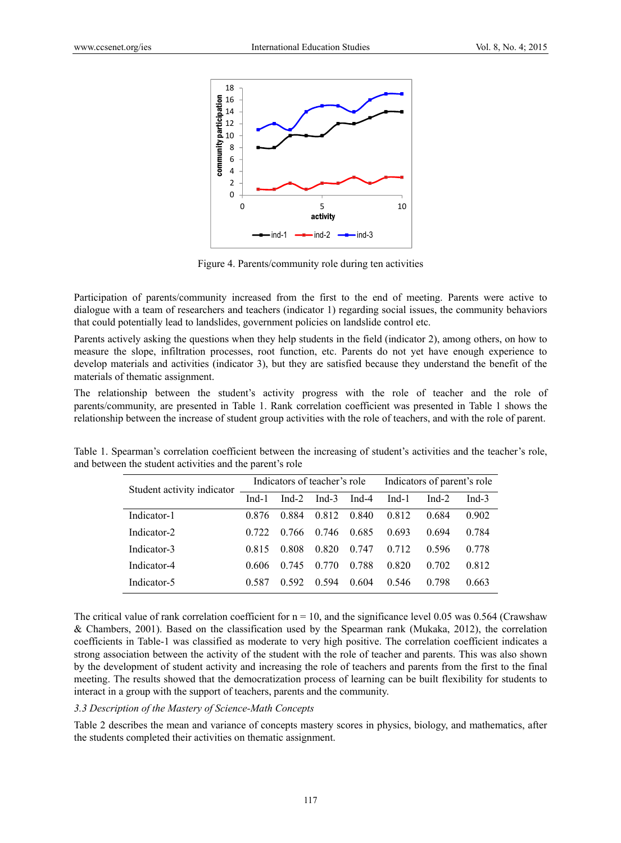

Figure 4. Parents/community role during ten activities

Participation of parents/community increased from the first to the end of meeting. Parents were active to dialogue with a team of researchers and teachers (indicator 1) regarding social issues, the community behaviors that could potentially lead to landslides, government policies on landslide control etc.

Parents actively asking the questions when they help students in the field (indicator 2), among others, on how to measure the slope, infiltration processes, root function, etc. Parents do not yet have enough experience to develop materials and activities (indicator 3), but they are satisfied because they understand the benefit of the materials of thematic assignment.

The relationship between the student's activity progress with the role of teacher and the role of parents/community, are presented in Table 1. Rank correlation coefficient was presented in Table 1 shows the relationship between the increase of student group activities with the role of teachers, and with the role of parent.

| Student activity indicator | Indicators of teacher's role |       |          |       | Indicators of parent's role |         |          |
|----------------------------|------------------------------|-------|----------|-------|-----------------------------|---------|----------|
|                            | $Ind-1$                      | Ind-2 | Ind- $3$ | Ind-4 | $Ind-1$                     | $Ind-2$ | Ind- $3$ |
| Indicator-1                | 0.876                        | 0.884 | 0.812    | 0.840 | 0.812                       | 0.684   | 0.902    |
| Indicator-2                | 0.722                        | 0.766 | 0.746    | 0.685 | 0.693                       | 0.694   | 0.784    |
| Indicator-3                | 0.815                        | 0.808 | 0.820    | 0.747 | 0.712                       | 0.596   | 0.778    |
| Indicator-4                | 0.606                        | 0.745 | 0.770    | 0.788 | 0.820                       | 0.702   | 0.812    |
| Indicator-5                | 0.587                        | 0.592 | 0.594    | 0.604 | 0.546                       | 0.798   | 0.663    |

Table 1. Spearman's correlation coefficient between the increasing of student's activities and the teacher's role, and between the student activities and the parent's role

The critical value of rank correlation coefficient for  $n = 10$ , and the significance level 0.05 was 0.564 (Crawshaw & Chambers, 2001). Based on the classification used by the Spearman rank (Mukaka, 2012), the correlation coefficients in Table-1 was classified as moderate to very high positive. The correlation coefficient indicates a strong association between the activity of the student with the role of teacher and parents. This was also shown by the development of student activity and increasing the role of teachers and parents from the first to the final meeting. The results showed that the democratization process of learning can be built flexibility for students to interact in a group with the support of teachers, parents and the community.

#### *3.3 Description of the Mastery of Science-Math Concepts*

Table 2 describes the mean and variance of concepts mastery scores in physics, biology, and mathematics, after the students completed their activities on thematic assignment.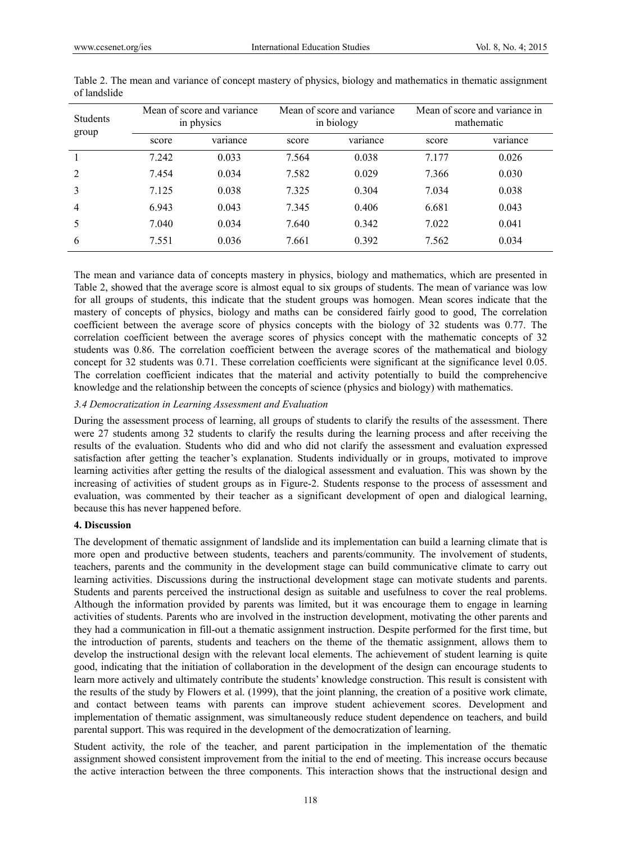| <b>Students</b><br>group | Mean of score and variance<br>in physics |          |       | Mean of score and variance<br>in biology | Mean of score and variance in<br>mathematic |          |
|--------------------------|------------------------------------------|----------|-------|------------------------------------------|---------------------------------------------|----------|
|                          | score                                    | variance | score | variance                                 | score                                       | variance |
|                          | 7.242                                    | 0.033    | 7.564 | 0.038                                    | 7.177                                       | 0.026    |
| 2                        | 7.454                                    | 0.034    | 7.582 | 0.029                                    | 7.366                                       | 0.030    |
| 3                        | 7.125                                    | 0.038    | 7.325 | 0.304                                    | 7.034                                       | 0.038    |
| $\overline{4}$           | 6.943                                    | 0.043    | 7.345 | 0.406                                    | 6.681                                       | 0.043    |
| 5                        | 7.040                                    | 0.034    | 7.640 | 0.342                                    | 7.022                                       | 0.041    |
| 6                        | 7.551                                    | 0.036    | 7.661 | 0.392                                    | 7.562                                       | 0.034    |

Table 2. The mean and variance of concept mastery of physics, biology and mathematics in thematic assignment of landslide

The mean and variance data of concepts mastery in physics, biology and mathematics, which are presented in Table 2, showed that the average score is almost equal to six groups of students. The mean of variance was low for all groups of students, this indicate that the student groups was homogen. Mean scores indicate that the mastery of concepts of physics, biology and maths can be considered fairly good to good, The correlation coefficient between the average score of physics concepts with the biology of 32 students was 0.77. The correlation coefficient between the average scores of physics concept with the mathematic concepts of 32 students was 0.86. The correlation coefficient between the average scores of the mathematical and biology concept for 32 students was 0.71. These correlation coefficients were significant at the significance level 0.05. The correlation coefficient indicates that the material and activity potentially to build the comprehencive knowledge and the relationship between the concepts of science (physics and biology) with mathematics.

#### *3.4 Democratization in Learning Assessment and Evaluation*

During the assessment process of learning, all groups of students to clarify the results of the assessment. There were 27 students among 32 students to clarify the results during the learning process and after receiving the results of the evaluation. Students who did and who did not clarify the assessment and evaluation expressed satisfaction after getting the teacher's explanation. Students individually or in groups, motivated to improve learning activities after getting the results of the dialogical assessment and evaluation. This was shown by the increasing of activities of student groups as in Figure-2. Students response to the process of assessment and evaluation, was commented by their teacher as a significant development of open and dialogical learning, because this has never happened before.

## **4. Discussion**

The development of thematic assignment of landslide and its implementation can build a learning climate that is more open and productive between students, teachers and parents/community. The involvement of students, teachers, parents and the community in the development stage can build communicative climate to carry out learning activities. Discussions during the instructional development stage can motivate students and parents. Students and parents perceived the instructional design as suitable and usefulness to cover the real problems. Although the information provided by parents was limited, but it was encourage them to engage in learning activities of students. Parents who are involved in the instruction development, motivating the other parents and they had a communication in fill-out a thematic assignment instruction. Despite performed for the first time, but the introduction of parents, students and teachers on the theme of the thematic assignment, allows them to develop the instructional design with the relevant local elements. The achievement of student learning is quite good, indicating that the initiation of collaboration in the development of the design can encourage students to learn more actively and ultimately contribute the students' knowledge construction. This result is consistent with the results of the study by Flowers et al. (1999), that the joint planning, the creation of a positive work climate, and contact between teams with parents can improve student achievement scores. Development and implementation of thematic assignment, was simultaneously reduce student dependence on teachers, and build parental support. This was required in the development of the democratization of learning.

Student activity, the role of the teacher, and parent participation in the implementation of the thematic assignment showed consistent improvement from the initial to the end of meeting. This increase occurs because the active interaction between the three components. This interaction shows that the instructional design and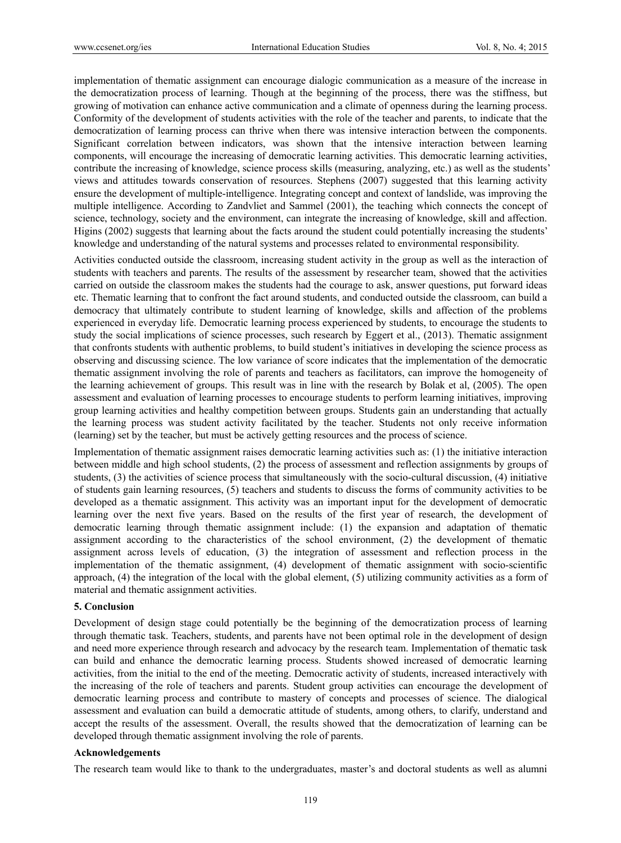implementation of thematic assignment can encourage dialogic communication as a measure of the increase in the democratization process of learning. Though at the beginning of the process, there was the stiffness, but growing of motivation can enhance active communication and a climate of openness during the learning process. Conformity of the development of students activities with the role of the teacher and parents, to indicate that the democratization of learning process can thrive when there was intensive interaction between the components. Significant correlation between indicators, was shown that the intensive interaction between learning components, will encourage the increasing of democratic learning activities. This democratic learning activities, contribute the increasing of knowledge, science process skills (measuring, analyzing, etc.) as well as the students' views and attitudes towards conservation of resources. Stephens (2007) suggested that this learning activity ensure the development of multiple-intelligence. Integrating concept and context of landslide, was improving the multiple intelligence. According to Zandvliet and Sammel (2001), the teaching which connects the concept of science, technology, society and the environment, can integrate the increasing of knowledge, skill and affection. Higins (2002) suggests that learning about the facts around the student could potentially increasing the students' knowledge and understanding of the natural systems and processes related to environmental responsibility.

Activities conducted outside the classroom, increasing student activity in the group as well as the interaction of students with teachers and parents. The results of the assessment by researcher team, showed that the activities carried on outside the classroom makes the students had the courage to ask, answer questions, put forward ideas etc. Thematic learning that to confront the fact around students, and conducted outside the classroom, can build a democracy that ultimately contribute to student learning of knowledge, skills and affection of the problems experienced in everyday life. Democratic learning process experienced by students, to encourage the students to study the social implications of science processes, such research by Eggert et al., (2013). Thematic assignment that confronts students with authentic problems, to build student's initiatives in developing the science process as observing and discussing science. The low variance of score indicates that the implementation of the democratic thematic assignment involving the role of parents and teachers as facilitators, can improve the homogeneity of the learning achievement of groups. This result was in line with the research by Bolak et al, (2005). The open assessment and evaluation of learning processes to encourage students to perform learning initiatives, improving group learning activities and healthy competition between groups. Students gain an understanding that actually the learning process was student activity facilitated by the teacher. Students not only receive information (learning) set by the teacher, but must be actively getting resources and the process of science.

Implementation of thematic assignment raises democratic learning activities such as: (1) the initiative interaction between middle and high school students, (2) the process of assessment and reflection assignments by groups of students, (3) the activities of science process that simultaneously with the socio-cultural discussion, (4) initiative of students gain learning resources, (5) teachers and students to discuss the forms of community activities to be developed as a thematic assignment. This activity was an important input for the development of democratic learning over the next five years. Based on the results of the first year of research, the development of democratic learning through thematic assignment include: (1) the expansion and adaptation of thematic assignment according to the characteristics of the school environment, (2) the development of thematic assignment across levels of education, (3) the integration of assessment and reflection process in the implementation of the thematic assignment, (4) development of thematic assignment with socio-scientific approach, (4) the integration of the local with the global element, (5) utilizing community activities as a form of material and thematic assignment activities.

## **5. Conclusion**

Development of design stage could potentially be the beginning of the democratization process of learning through thematic task. Teachers, students, and parents have not been optimal role in the development of design and need more experience through research and advocacy by the research team. Implementation of thematic task can build and enhance the democratic learning process. Students showed increased of democratic learning activities, from the initial to the end of the meeting. Democratic activity of students, increased interactively with the increasing of the role of teachers and parents. Student group activities can encourage the development of democratic learning process and contribute to mastery of concepts and processes of science. The dialogical assessment and evaluation can build a democratic attitude of students, among others, to clarify, understand and accept the results of the assessment. Overall, the results showed that the democratization of learning can be developed through thematic assignment involving the role of parents.

#### **Acknowledgements**

The research team would like to thank to the undergraduates, master's and doctoral students as well as alumni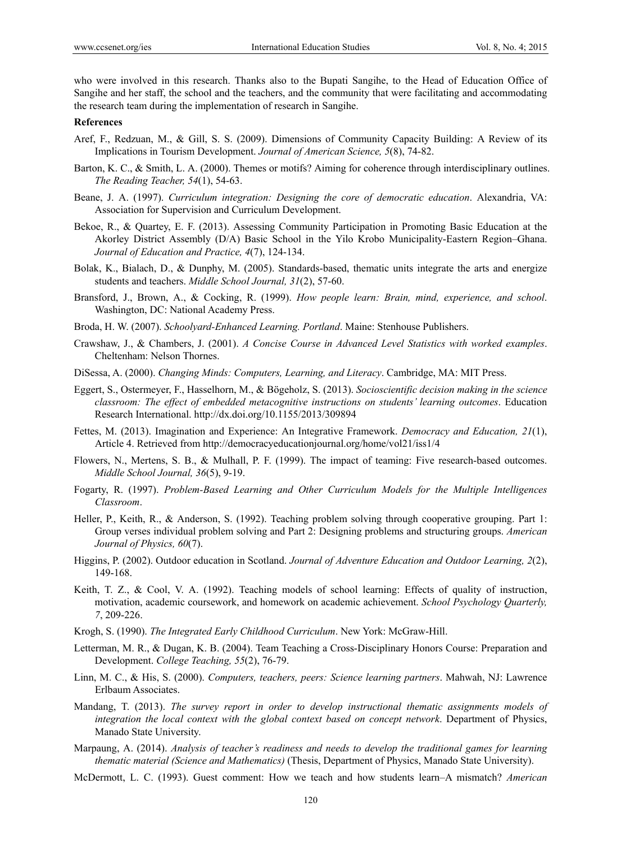who were involved in this research. Thanks also to the Bupati Sangihe, to the Head of Education Office of Sangihe and her staff, the school and the teachers, and the community that were facilitating and accommodating the research team during the implementation of research in Sangihe.

#### **References**

- Aref, F., Redzuan, M., & Gill, S. S. (2009). Dimensions of Community Capacity Building: A Review of its Implications in Tourism Development. *Journal of American Science, 5*(8), 74-82.
- Barton, K. C., & Smith, L. A. (2000). Themes or motifs? Aiming for coherence through interdisciplinary outlines. *The Reading Teacher, 54*(1), 54-63.
- Beane, J. A. (1997). *Curriculum integration: Designing the core of democratic education*. Alexandria, VA: Association for Supervision and Curriculum Development.
- Bekoe, R., & Quartey, E. F. (2013). Assessing Community Participation in Promoting Basic Education at the Akorley District Assembly (D/A) Basic School in the Yilo Krobo Municipality-Eastern Region–Ghana. *Journal of Education and Practice, 4*(7), 124-134.
- Bolak, K., Bialach, D., & Dunphy, M. (2005). Standards-based, thematic units integrate the arts and energize students and teachers. *Middle School Journal, 31*(2), 57-60.
- Bransford, J., Brown, A., & Cocking, R. (1999). *How people learn: Brain, mind, experience, and school*. Washington, DC: National Academy Press.
- Broda, H. W. (2007). *Schoolyard-Enhanced Learning. Portland*. Maine: Stenhouse Publishers.
- Crawshaw, J., & Chambers, J. (2001). *A Concise Course in Advanced Level Statistics with worked examples*. Cheltenham: Nelson Thornes.
- DiSessa, A. (2000). *Changing Minds: Computers, Learning, and Literacy*. Cambridge, MA: MIT Press.
- Eggert, S., Ostermeyer, F., Hasselhorn, M., & Bögeholz, S. (2013). *Socioscientific decision making in the science classroom: The effect of embedded metacognitive instructions on students' learning outcomes*. Education Research International. http://dx.doi.org/10.1155/2013/309894
- Fettes, M. (2013). Imagination and Experience: An Integrative Framework. *Democracy and Education, 21*(1), Article 4. Retrieved from http://democracyeducationjournal.org/home/vol21/iss1/4
- Flowers, N., Mertens, S. B., & Mulhall, P. F. (1999). The impact of teaming: Five research-based outcomes. *Middle School Journal, 36*(5), 9-19.
- Fogarty, R. (1997). *Problem-Based Learning and Other Curriculum Models for the Multiple Intelligences Classroom*.
- Heller, P., Keith, R., & Anderson, S. (1992). Teaching problem solving through cooperative grouping. Part 1: Group verses individual problem solving and Part 2: Designing problems and structuring groups. *American Journal of Physics, 60*(7).
- Higgins, P. (2002). Outdoor education in Scotland. *Journal of Adventure Education and Outdoor Learning, 2*(2), 149-168.
- Keith, T. Z., & Cool, V. A. (1992). Teaching models of school learning: Effects of quality of instruction, motivation, academic coursework, and homework on academic achievement. *School Psychology Quarterly, 7*, 209-226.
- Krogh, S. (1990). *The Integrated Early Childhood Curriculum*. New York: McGraw-Hill.
- Letterman, M. R., & Dugan, K. B. (2004). Team Teaching a Cross-Disciplinary Honors Course: Preparation and Development. *College Teaching, 55*(2), 76-79.
- Linn, M. C., & His, S. (2000). *Computers, teachers, peers: Science learning partners*. Mahwah, NJ: Lawrence Erlbaum Associates.
- Mandang, T. (2013). *The survey report in order to develop instructional thematic assignments models of integration the local context with the global context based on concept network*. Department of Physics, Manado State University.
- Marpaung, A. (2014). *Analysis of teacher's readiness and needs to develop the traditional games for learning thematic material (Science and Mathematics)* (Thesis, Department of Physics, Manado State University).
- McDermott, L. C. (1993). Guest comment: How we teach and how students learn–A mismatch? *American*